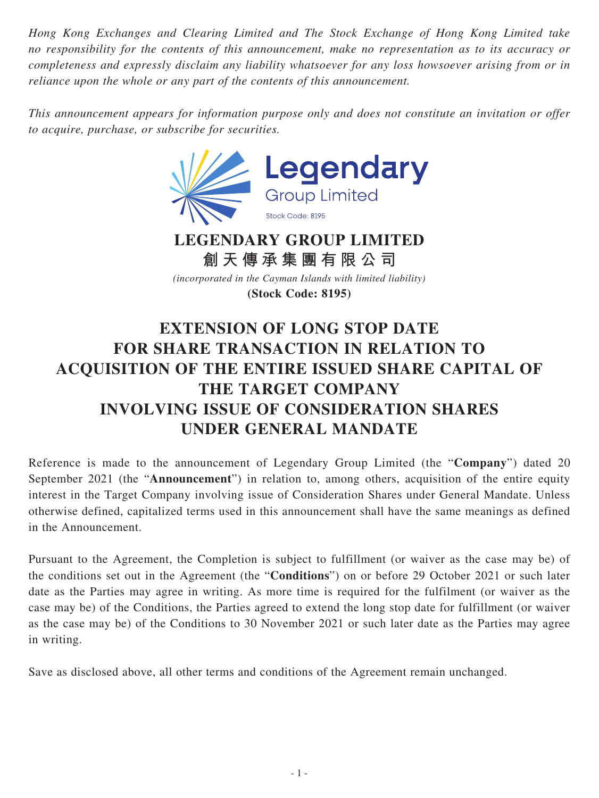*Hong Kong Exchanges and Clearing Limited and The Stock Exchange of Hong Kong Limited take no responsibility for the contents of this announcement, make no representation as to its accuracy or completeness and expressly disclaim any liability whatsoever for any loss howsoever arising from or in reliance upon the whole or any part of the contents of this announcement.*

*This announcement appears for information purpose only and does not constitute an invitation or offer to acquire, purchase, or subscribe for securities.*



**LEGENDARY GROUP LIMITED 創天傳承集團有限公司**

*(incorporated in the Cayman Islands with limited liability)*

**(Stock Code: 8195)**

## **EXTENSION OF LONG STOP DATE FOR SHARE TRANSACTION IN RELATION TO ACQUISITION OF THE ENTIRE ISSUED SHARE CAPITAL OF THE TARGET COMPANY INVOLVING ISSUE OF CONSIDERATION SHARES UNDER GENERAL MANDATE**

Reference is made to the announcement of Legendary Group Limited (the "**Company**") dated 20 September 2021 (the "**Announcement**") in relation to, among others, acquisition of the entire equity interest in the Target Company involving issue of Consideration Shares under General Mandate. Unless otherwise defined, capitalized terms used in this announcement shall have the same meanings as defined in the Announcement.

Pursuant to the Agreement, the Completion is subject to fulfillment (or waiver as the case may be) of the conditions set out in the Agreement (the "**Conditions**") on or before 29 October 2021 or such later date as the Parties may agree in writing. As more time is required for the fulfilment (or waiver as the case may be) of the Conditions, the Parties agreed to extend the long stop date for fulfillment (or waiver as the case may be) of the Conditions to 30 November 2021 or such later date as the Parties may agree in writing.

Save as disclosed above, all other terms and conditions of the Agreement remain unchanged.